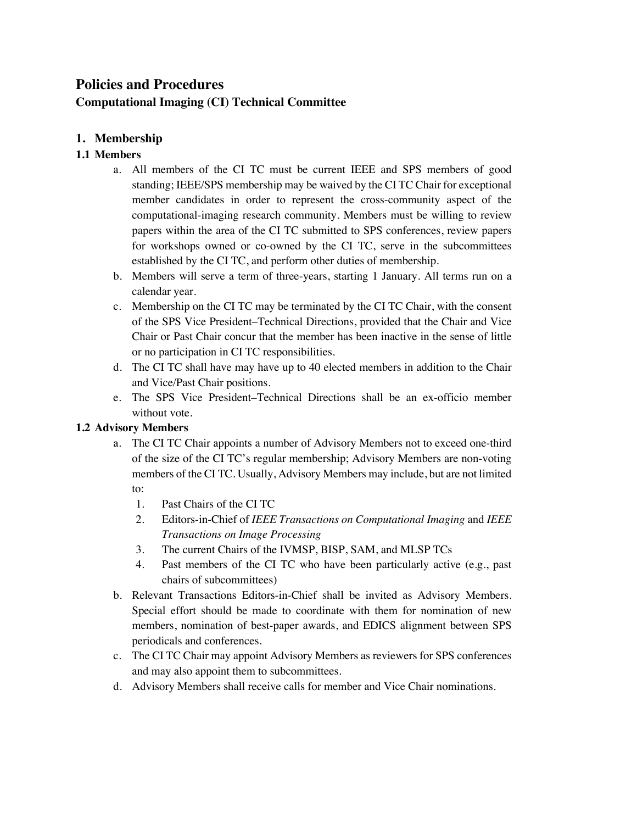# **Policies and Procedures Computational Imaging (CI) Technical Committee**

# **1. Membership**

# **1.1 Members**

- a. All members of the CI TC must be current IEEE and SPS members of good standing; IEEE/SPS membership may be waived by the CI TC Chair for exceptional member candidates in order to represent the cross-community aspect of the computational-imaging research community. Members must be willing to review papers within the area of the CI TC submitted to SPS conferences, review papers for workshops owned or co-owned by the CI TC, serve in the subcommittees established by the CI TC, and perform other duties of membership.
- b. Members will serve a term of three-years, starting 1 January. All terms run on a calendar year.
- c. Membership on the CI TC may be terminated by the CI TC Chair, with the consent of the SPS Vice President–Technical Directions, provided that the Chair and Vice Chair or Past Chair concur that the member has been inactive in the sense of little or no participation in CI TC responsibilities.
- d. The CI TC shall have may have up to 40 elected members in addition to the Chair and Vice/Past Chair positions.
- e. The SPS Vice President–Technical Directions shall be an ex-officio member without vote.

# **1.2 Advisory Members**

- a. The CI TC Chair appoints a number of Advisory Members not to exceed one-third of the size of the CI TC's regular membership; Advisory Members are non-voting members of the CI TC. Usually, Advisory Members may include, but are not limited to:
	- 1. Past Chairs of the CI TC
	- 2. Editors-in-Chief of *IEEE Transactions on Computational Imaging* and *IEEE Transactions on Image Processing*
	- 3. The current Chairs of the IVMSP, BISP, SAM, and MLSP TCs
	- 4. Past members of the CI TC who have been particularly active (e.g., past chairs of subcommittees)
- b. Relevant Transactions Editors-in-Chief shall be invited as Advisory Members. Special effort should be made to coordinate with them for nomination of new members, nomination of best-paper awards, and EDICS alignment between SPS periodicals and conferences.
- c. The CI TC Chair may appoint Advisory Members as reviewers for SPS conferences and may also appoint them to subcommittees.
- d. Advisory Members shall receive calls for member and Vice Chair nominations.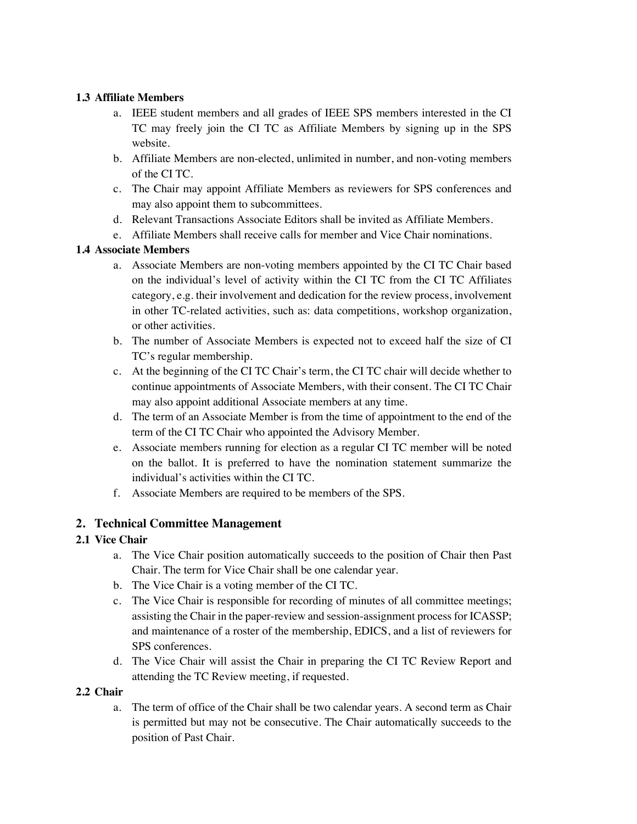### **1.3 Affiliate Members**

- a. IEEE student members and all grades of IEEE SPS members interested in the CI TC may freely join the CI TC as Affiliate Members by signing up in the SPS website.
- b. Affiliate Members are non-elected, unlimited in number, and non-voting members of the CI TC.
- c. The Chair may appoint Affiliate Members as reviewers for SPS conferences and may also appoint them to subcommittees.
- d. Relevant Transactions Associate Editors shall be invited as Affiliate Members.
- e. Affiliate Members shall receive calls for member and Vice Chair nominations.

## **1.4 Associate Members**

- a. Associate Members are non-voting members appointed by the CI TC Chair based on the individual's level of activity within the CI TC from the CI TC Affiliates category, e.g. their involvement and dedication for the review process, involvement in other TC-related activities, such as: data competitions, workshop organization, or other activities.
- b. The number of Associate Members is expected not to exceed half the size of CI TC's regular membership.
- c. At the beginning of the CI TC Chair's term, the CI TC chair will decide whether to continue appointments of Associate Members, with their consent. The CI TC Chair may also appoint additional Associate members at any time.
- d. The term of an Associate Member is from the time of appointment to the end of the term of the CI TC Chair who appointed the Advisory Member.
- e. Associate members running for election as a regular CI TC member will be noted on the ballot. It is preferred to have the nomination statement summarize the individual's activities within the CI TC.
- f. Associate Members are required to be members of the SPS.

# **2. Technical Committee Management**

# **2.1 Vice Chair**

- a. The Vice Chair position automatically succeeds to the position of Chair then Past Chair. The term for Vice Chair shall be one calendar year.
- b. The Vice Chair is a voting member of the CI TC.
- c. The Vice Chair is responsible for recording of minutes of all committee meetings; assisting the Chair in the paper-review and session-assignment process for ICASSP; and maintenance of a roster of the membership, EDICS, and a list of reviewers for SPS conferences.
- d. The Vice Chair will assist the Chair in preparing the CI TC Review Report and attending the TC Review meeting, if requested.

# **2.2 Chair**

a. The term of office of the Chair shall be two calendar years. A second term as Chair is permitted but may not be consecutive. The Chair automatically succeeds to the position of Past Chair.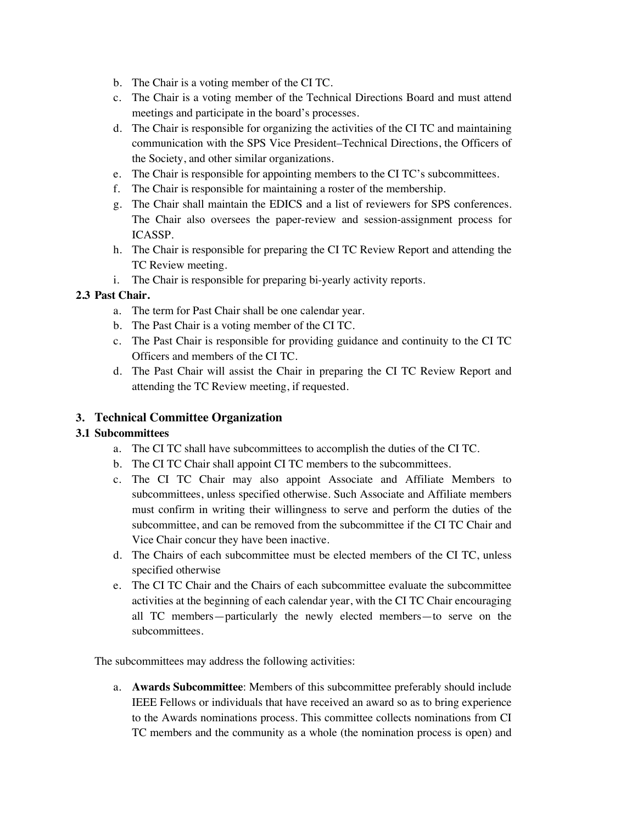- b. The Chair is a voting member of the CI TC.
- c. The Chair is a voting member of the Technical Directions Board and must attend meetings and participate in the board's processes.
- d. The Chair is responsible for organizing the activities of the CI TC and maintaining communication with the SPS Vice President–Technical Directions, the Officers of the Society, and other similar organizations.
- e. The Chair is responsible for appointing members to the CI TC's subcommittees.
- f. The Chair is responsible for maintaining a roster of the membership.
- g. The Chair shall maintain the EDICS and a list of reviewers for SPS conferences. The Chair also oversees the paper-review and session-assignment process for ICASSP.
- h. The Chair is responsible for preparing the CI TC Review Report and attending the TC Review meeting.
- i. The Chair is responsible for preparing bi-yearly activity reports.

### **2.3 Past Chair.**

- a. The term for Past Chair shall be one calendar year.
- b. The Past Chair is a voting member of the CI TC.
- c. The Past Chair is responsible for providing guidance and continuity to the CI TC Officers and members of the CI TC.
- d. The Past Chair will assist the Chair in preparing the CI TC Review Report and attending the TC Review meeting, if requested.

### **3. Technical Committee Organization**

#### **3.1 Subcommittees**

- a. The CI TC shall have subcommittees to accomplish the duties of the CI TC.
- b. The CI TC Chair shall appoint CI TC members to the subcommittees.
- c. The CI TC Chair may also appoint Associate and Affiliate Members to subcommittees, unless specified otherwise. Such Associate and Affiliate members must confirm in writing their willingness to serve and perform the duties of the subcommittee, and can be removed from the subcommittee if the CI TC Chair and Vice Chair concur they have been inactive.
- d. The Chairs of each subcommittee must be elected members of the CI TC, unless specified otherwise
- e. The CI TC Chair and the Chairs of each subcommittee evaluate the subcommittee activities at the beginning of each calendar year, with the CI TC Chair encouraging all TC members—particularly the newly elected members—to serve on the subcommittees.

The subcommittees may address the following activities:

a. **Awards Subcommittee**: Members of this subcommittee preferably should include IEEE Fellows or individuals that have received an award so as to bring experience to the Awards nominations process. This committee collects nominations from CI TC members and the community as a whole (the nomination process is open) and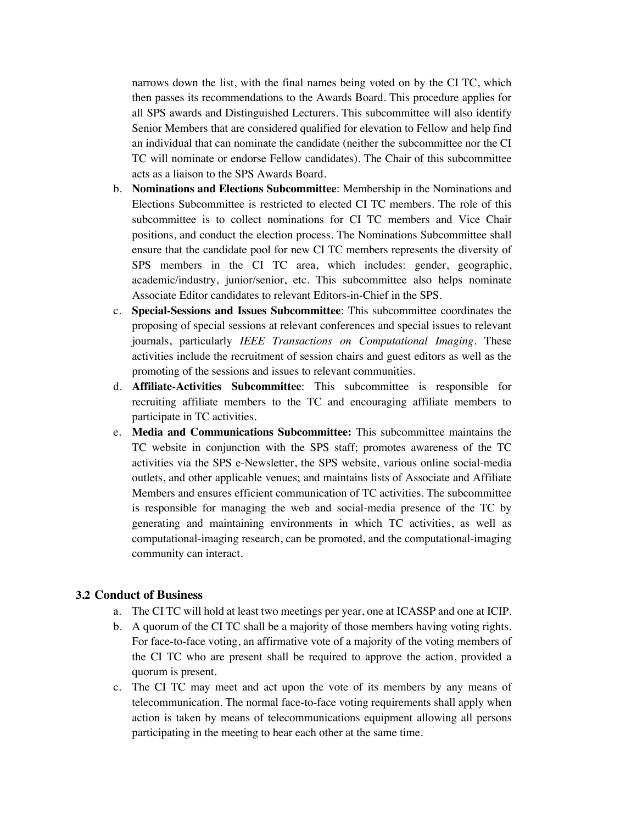narrows down the list, with the final names being voted on by the CI TC, which then passes its recommendations to the Awards Board. This procedure applies for all SPS awards and Distinguished Lecturers. This subcommittee will also identify Senior Members that are considered qualified for elevation to Fellow and help find an individual that can nominate the candidate (neither the subcommittee nor the CI TC will nominate or endorse Fellow candidates). The Chair of this subcommittee acts as a liaison to the SPS Awards Board.

- b. **Nominations and Elections Subcommittee**: Membership in the Nominations and Elections Subcommittee is restricted to elected CI TC members. The role of this subcommittee is to collect nominations for CI TC members and Vice Chair positions, and conduct the election process. The Nominations Subcommittee shall ensure that the candidate pool for new CI TC members represents the diversity of SPS members in the CI TC area, which includes: gender, geographic, academic/industry, junior/senior, etc. This subcommittee also helps nominate Associate Editor candidates to relevant Editors-in-Chief in the SPS.
- c. **Special-Sessions and Issues Subcommittee**: This subcommittee coordinates the proposing of special sessions at relevant conferences and special issues to relevant journals, particularly *IEEE Transactions on Computational Imaging*. These activities include the recruitment of session chairs and guest editors as well as the promoting of the sessions and issues to relevant communities.
- d. **Affiliate-Activities Subcommittee**: This subcommittee is responsible for recruiting affiliate members to the TC and encouraging affiliate members to participate in TC activities.
- e. **Media and Communications Subcommittee:** This subcommittee maintains the TC website in conjunction with the SPS staff; promotes awareness of the TC activities via the SPS e-Newsletter, the SPS website, various online social-media outlets, and other applicable venues; and maintains lists of Associate and Affiliate Members and ensures efficient communication of TC activities. The subcommittee is responsible for managing the web and social-media presence of the TC by generating and maintaining environments in which TC activities, as well as computational-imaging research, can be promoted, and the computational-imaging community can interact.

#### **3.2 Conduct of Business**

- a. The CI TC will hold at least two meetings per year, one at ICASSP and one at ICIP.
- b. A quorum of the CI TC shall be a majority of those members having voting rights. For face-to-face voting, an affirmative vote of a majority of the voting members of the CI TC who are present shall be required to approve the action, provided a quorum is present.
- c. The CI TC may meet and act upon the vote of its members by any means of telecommunication. The normal face-to-face voting requirements shall apply when action is taken by means of telecommunications equipment allowing all persons participating in the meeting to hear each other at the same time.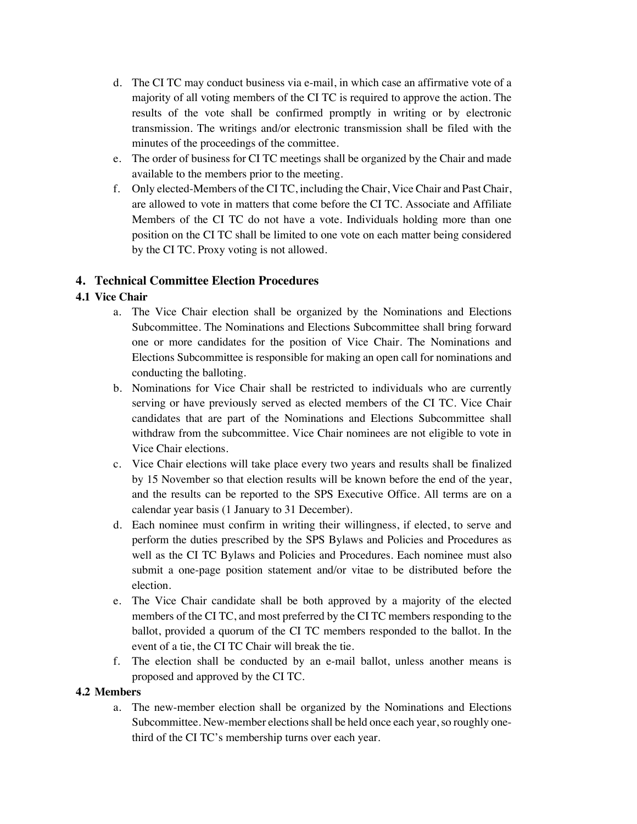- d. The CI TC may conduct business via e-mail, in which case an affirmative vote of a majority of all voting members of the CI TC is required to approve the action. The results of the vote shall be confirmed promptly in writing or by electronic transmission. The writings and/or electronic transmission shall be filed with the minutes of the proceedings of the committee.
- e. The order of business for CI TC meetings shall be organized by the Chair and made available to the members prior to the meeting.
- f. Only elected-Members of the CI TC, including the Chair, Vice Chair and Past Chair, are allowed to vote in matters that come before the CI TC. Associate and Affiliate Members of the CI TC do not have a vote. Individuals holding more than one position on the CI TC shall be limited to one vote on each matter being considered by the CI TC. Proxy voting is not allowed.

## **4. Technical Committee Election Procedures**

### **4.1 Vice Chair**

- a. The Vice Chair election shall be organized by the Nominations and Elections Subcommittee. The Nominations and Elections Subcommittee shall bring forward one or more candidates for the position of Vice Chair. The Nominations and Elections Subcommittee is responsible for making an open call for nominations and conducting the balloting.
- b. Nominations for Vice Chair shall be restricted to individuals who are currently serving or have previously served as elected members of the CI TC. Vice Chair candidates that are part of the Nominations and Elections Subcommittee shall withdraw from the subcommittee. Vice Chair nominees are not eligible to vote in Vice Chair elections.
- c. Vice Chair elections will take place every two years and results shall be finalized by 15 November so that election results will be known before the end of the year, and the results can be reported to the SPS Executive Office. All terms are on a calendar year basis (1 January to 31 December).
- d. Each nominee must confirm in writing their willingness, if elected, to serve and perform the duties prescribed by the SPS Bylaws and Policies and Procedures as well as the CI TC Bylaws and Policies and Procedures. Each nominee must also submit a one-page position statement and/or vitae to be distributed before the election.
- e. The Vice Chair candidate shall be both approved by a majority of the elected members of the CI TC, and most preferred by the CI TC members responding to the ballot, provided a quorum of the CI TC members responded to the ballot. In the event of a tie, the CI TC Chair will break the tie.
- f. The election shall be conducted by an e-mail ballot, unless another means is proposed and approved by the CI TC.

### **4.2 Members**

a. The new-member election shall be organized by the Nominations and Elections Subcommittee. New-member elections shall be held once each year, so roughly onethird of the CI TC's membership turns over each year.